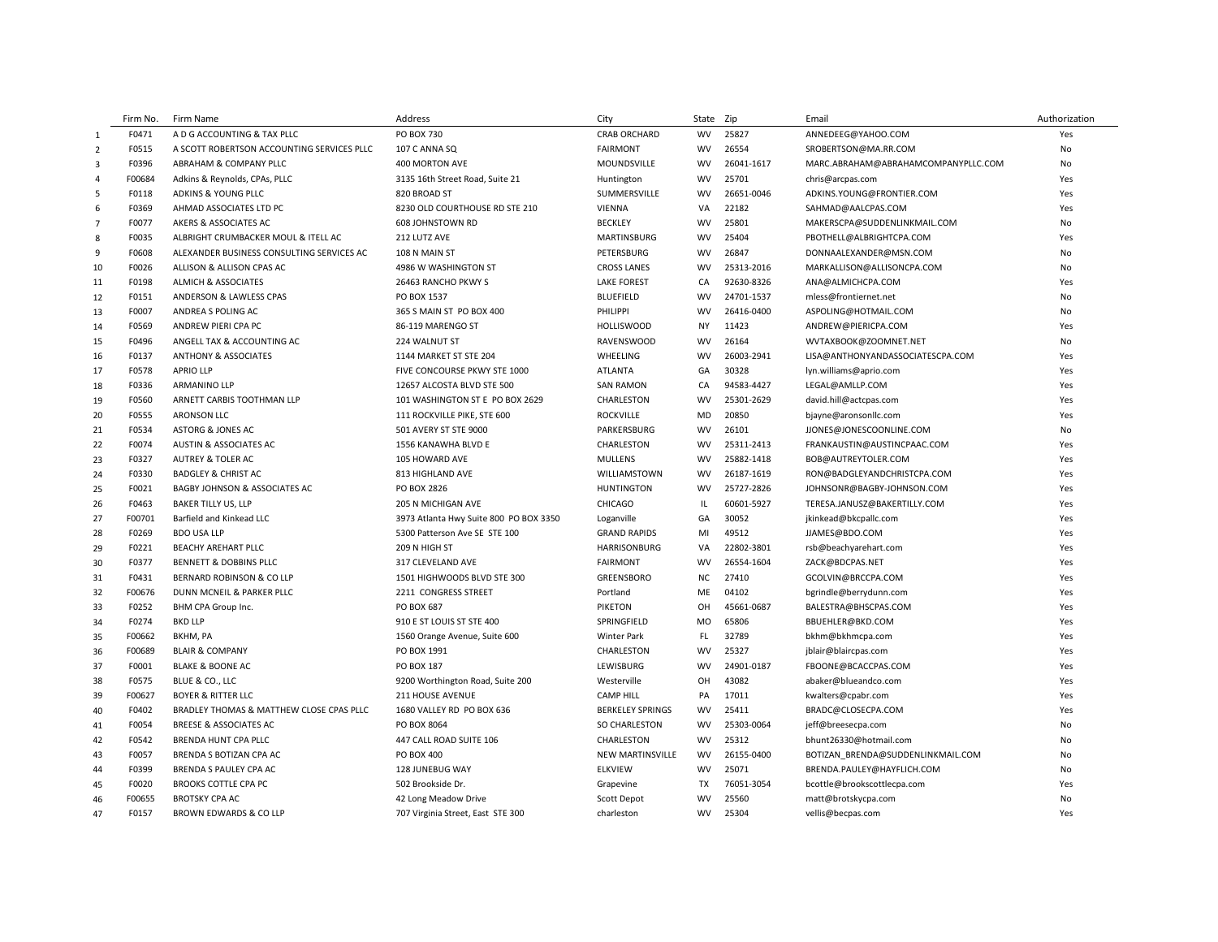|                         | Firm No. | Firm Name                                  | Address                                | City                    | State     | Zip        | Email                               | Authorization |
|-------------------------|----------|--------------------------------------------|----------------------------------------|-------------------------|-----------|------------|-------------------------------------|---------------|
| 1                       | F0471    | A D G ACCOUNTING & TAX PLLC                | PO BOX 730                             | <b>CRAB ORCHARD</b>     | <b>WV</b> | 25827      | ANNEDEEG@YAHOO.COM                  | Yes           |
| $\overline{2}$          | F0515    | A SCOTT ROBERTSON ACCOUNTING SERVICES PLLC | 107 C ANNA SQ                          | <b>FAIRMONT</b>         | <b>WV</b> | 26554      | SROBERTSON@MA.RR.COM                | No            |
| $\overline{\mathbf{3}}$ | F0396    | ABRAHAM & COMPANY PLLC                     | 400 MORTON AVE                         | MOUNDSVILLE             | <b>WV</b> | 26041-1617 | MARC.ABRAHAM@ABRAHAMCOMPANYPLLC.COM | No            |
| $\overline{4}$          | F00684   | Adkins & Reynolds, CPAs, PLLC              | 3135 16th Street Road, Suite 21        | Huntington              | <b>WV</b> | 25701      | chris@arcpas.com                    | Yes           |
| 5                       | F0118    | ADKINS & YOUNG PLLC                        | 820 BROAD ST                           | SUMMERSVILLE            | <b>WV</b> | 26651-0046 | ADKINS.YOUNG@FRONTIER.COM           | Yes           |
| 6                       | F0369    | AHMAD ASSOCIATES LTD PC                    | 8230 OLD COURTHOUSE RD STE 210         | <b>VIENNA</b>           | VA        | 22182      | SAHMAD@AALCPAS.COM                  | Yes           |
| $\overline{7}$          | F0077    | AKERS & ASSOCIATES AC                      | 608 JOHNSTOWN RD                       | <b>BECKLEY</b>          | <b>WV</b> | 25801      | MAKERSCPA@SUDDENLINKMAIL.COM        | No            |
| 8                       | F0035    | ALBRIGHT CRUMBACKER MOUL & ITELL AC        | 212 LUTZ AVE                           | <b>MARTINSBURG</b>      | WV        | 25404      | PBOTHELL@ALBRIGHTCPA.COM            | Yes           |
| 9                       | F0608    | ALEXANDER BUSINESS CONSULTING SERVICES AC  | 108 N MAIN ST                          | PETERSBURG              | <b>WV</b> | 26847      | DONNAALEXANDER@MSN.COM              | <b>No</b>     |
| 10                      | F0026    | ALLISON & ALLISON CPAS AC                  | 4986 W WASHINGTON ST                   | <b>CROSS LANES</b>      | <b>WV</b> | 25313-2016 | MARKALLISON@ALLISONCPA.COM          | No            |
| 11                      | F0198    | <b>ALMICH &amp; ASSOCIATES</b>             | 26463 RANCHO PKWY S                    | <b>LAKE FOREST</b>      | CA        | 92630-8326 | ANA@ALMICHCPA.COM                   | Yes           |
| 12                      | F0151    | ANDERSON & LAWLESS CPAS                    | PO BOX 1537                            | <b>BLUEFIELD</b>        | <b>WV</b> | 24701-1537 | mless@frontiernet.net               | No            |
| 13                      | F0007    | ANDREA S POLING AC                         | 365 S MAIN ST PO BOX 400               | PHILIPPI                | <b>WV</b> | 26416-0400 | ASPOLING@HOTMAIL.COM                | No            |
| 14                      | F0569    | ANDREW PIERI CPA PC                        | 86-119 MARENGO ST                      | <b>HOLLISWOOD</b>       | NY        | 11423      | ANDREW@PIERICPA.COM                 | Yes           |
| 15                      | F0496    | ANGELL TAX & ACCOUNTING AC                 | 224 WALNUT ST                          | RAVENSWOOD              | <b>WV</b> | 26164      | WVTAXBOOK@ZOOMNET.NET               | No            |
| 16                      | F0137    | <b>ANTHONY &amp; ASSOCIATES</b>            | 1144 MARKET ST STE 204                 | WHEELING                | <b>WV</b> | 26003-2941 | LISA@ANTHONYANDASSOCIATESCPA.COM    | Yes           |
| 17                      | F0578    | <b>APRIO LLP</b>                           | FIVE CONCOURSE PKWY STE 1000           | ATLANTA                 | GA        | 30328      | lyn.williams@aprio.com              | Yes           |
| 18                      | F0336    | <b>ARMANINO LLP</b>                        | 12657 ALCOSTA BLVD STE 500             | <b>SAN RAMON</b>        | CA        | 94583-4427 | LEGAL@AMLLP.COM                     | Yes           |
| 19                      | F0560    | ARNETT CARBIS TOOTHMAN LLP                 | 101 WASHINGTON ST E PO BOX 2629        | CHARLESTON              | <b>WV</b> | 25301-2629 | david.hill@actcpas.com              | Yes           |
| 20                      | F0555    | <b>ARONSON LLC</b>                         | 111 ROCKVILLE PIKE, STE 600            | <b>ROCKVILLE</b>        | MD        | 20850      | bjayne@aronsonllc.com               | Yes           |
| 21                      | F0534    | <b>ASTORG &amp; JONES AC</b>               | 501 AVERY ST STE 9000                  | PARKERSBURG             | <b>WV</b> | 26101      | JJONES@JONESCOONLINE.COM            | <b>No</b>     |
| 22                      | F0074    | AUSTIN & ASSOCIATES AC                     | 1556 KANAWHA BLVD E                    | CHARLESTON              | <b>WV</b> | 25311-2413 | FRANKAUSTIN@AUSTINCPAAC.COM         | Yes           |
| 23                      | F0327    | AUTREY & TOLER AC                          | 105 HOWARD AVE                         | <b>MULLENS</b>          | <b>WV</b> | 25882-1418 | BOB@AUTREYTOLER.COM                 | Yes           |
| 24                      | F0330    | <b>BADGLEY &amp; CHRIST AC</b>             | 813 HIGHLAND AVE                       | WILLIAMSTOWN            | <b>WV</b> | 26187-1619 | RON@BADGLEYANDCHRISTCPA.COM         | Yes           |
| 25                      | F0021    | BAGBY JOHNSON & ASSOCIATES AC              | PO BOX 2826                            | <b>HUNTINGTON</b>       | <b>WV</b> | 25727-2826 | JOHNSONR@BAGBY-JOHNSON.COM          | Yes           |
| 26                      | F0463    | <b>BAKER TILLY US, LLP</b>                 | 205 N MICHIGAN AVE                     | <b>CHICAGO</b>          | IL.       | 60601-5927 | TERESA.JANUSZ@BAKERTILLY.COM        | Yes           |
| 27                      | F00701   | Barfield and Kinkead LLC                   | 3973 Atlanta Hwy Suite 800 PO BOX 3350 | Loganville              | GA        | 30052      | jkinkead@bkcpallc.com               | Yes           |
| 28                      | F0269    | <b>BDO USA LLP</b>                         | 5300 Patterson Ave SE STE 100          | <b>GRAND RAPIDS</b>     | MI        | 49512      | JJAMES@BDO.COM                      | Yes           |
| 29                      | F0221    | <b>BEACHY AREHART PLLC</b>                 | 209 N HIGH ST                          | <b>HARRISONBURG</b>     | VA        | 22802-3801 | rsb@beachyarehart.com               | Yes           |
| 30                      | F0377    | <b>BENNETT &amp; DOBBINS PLLC</b>          | 317 CLEVELAND AVE                      | <b>FAIRMONT</b>         | <b>WV</b> | 26554-1604 | ZACK@BDCPAS.NET                     | Yes           |
| 31                      | F0431    | BERNARD ROBINSON & CO LLP                  | 1501 HIGHWOODS BLVD STE 300            | GREENSBORO              | NC        | 27410      | GCOLVIN@BRCCPA.COM                  | Yes           |
| 32                      | F00676   | DUNN MCNEIL & PARKER PLLC                  | 2211 CONGRESS STREET                   | Portland                | ME        | 04102      | bgrindle@berrydunn.com              | Yes           |
| 33                      | F0252    | BHM CPA Group Inc.                         | <b>PO BOX 687</b>                      | <b>PIKETON</b>          | OH        | 45661-0687 | BALESTRA@BHSCPAS.COM                | Yes           |
| 34                      | F0274    | <b>BKD LLP</b>                             | 910 E ST LOUIS ST STE 400              | SPRINGFIELD             | <b>MO</b> | 65806      | BBUEHLER@BKD.COM                    | Yes           |
| 35                      | F00662   | BKHM, PA                                   | 1560 Orange Avenue, Suite 600          | <b>Winter Park</b>      | <b>FL</b> | 32789      | bkhm@bkhmcpa.com                    | Yes           |
| 36                      | F00689   | <b>BLAIR &amp; COMPANY</b>                 | PO BOX 1991                            | CHARLESTON              | <b>WV</b> | 25327      | jblair@blaircpas.com                | Yes           |
| 37                      | F0001    | <b>BLAKE &amp; BOONE AC</b>                | <b>PO BOX 187</b>                      | LEWISBURG               | <b>WV</b> | 24901-0187 | FBOONE@BCACCPAS.COM                 | Yes           |
| 38                      | F0575    | BLUE & CO., LLC                            | 9200 Worthington Road, Suite 200       | Westerville             | OH        | 43082      | abaker@blueandco.com                | Yes           |
| 39                      | F00627   | <b>BOYER &amp; RITTER LLC</b>              | 211 HOUSE AVENUE                       | <b>CAMP HILL</b>        | PA        | 17011      | kwalters@cpabr.com                  | Yes           |
| 40                      | F0402    | BRADLEY THOMAS & MATTHEW CLOSE CPAS PLLC   | 1680 VALLEY RD PO BOX 636              | <b>BERKELEY SPRINGS</b> | <b>WV</b> | 25411      | BRADC@CLOSECPA.COM                  | Yes           |
| 41                      | F0054    | <b>BREESE &amp; ASSOCIATES AC</b>          | PO BOX 8064                            | <b>SO CHARLESTON</b>    | <b>WV</b> | 25303-0064 | jeff@breesecpa.com                  | No            |
| 42                      | F0542    | BRENDA HUNT CPA PLLC                       | 447 CALL ROAD SUITE 106                | CHARLESTON              | <b>WV</b> | 25312      | bhunt26330@hotmail.com              | <b>No</b>     |
| 43                      | F0057    | BRENDA S BOTIZAN CPA AC                    | PO BOX 400                             | NEW MARTINSVILLE        | <b>WV</b> | 26155-0400 | BOTIZAN BRENDA@SUDDENLINKMAIL.COM   | No            |
| 44                      | F0399    | BRENDA S PAULEY CPA AC                     | 128 JUNEBUG WAY                        | <b>ELKVIEW</b>          | <b>WV</b> | 25071      | BRENDA.PAULEY@HAYFLICH.COM          | No            |
| 45                      | F0020    | <b>BROOKS COTTLE CPA PC</b>                | 502 Brookside Dr.                      | Grapevine               | <b>TX</b> | 76051-3054 | bcottle@brookscottlecpa.com         | Yes           |
| 46                      | F00655   | <b>BROTSKY CPA AC</b>                      | 42 Long Meadow Drive                   | Scott Depot             | <b>WV</b> | 25560      | matt@brotskycpa.com                 | No            |
| 47                      | F0157    | BROWN EDWARDS & CO LLP                     | 707 Virginia Street, East STE 300      | charleston              | <b>WV</b> | 25304      | vellis@becpas.com                   | Yes           |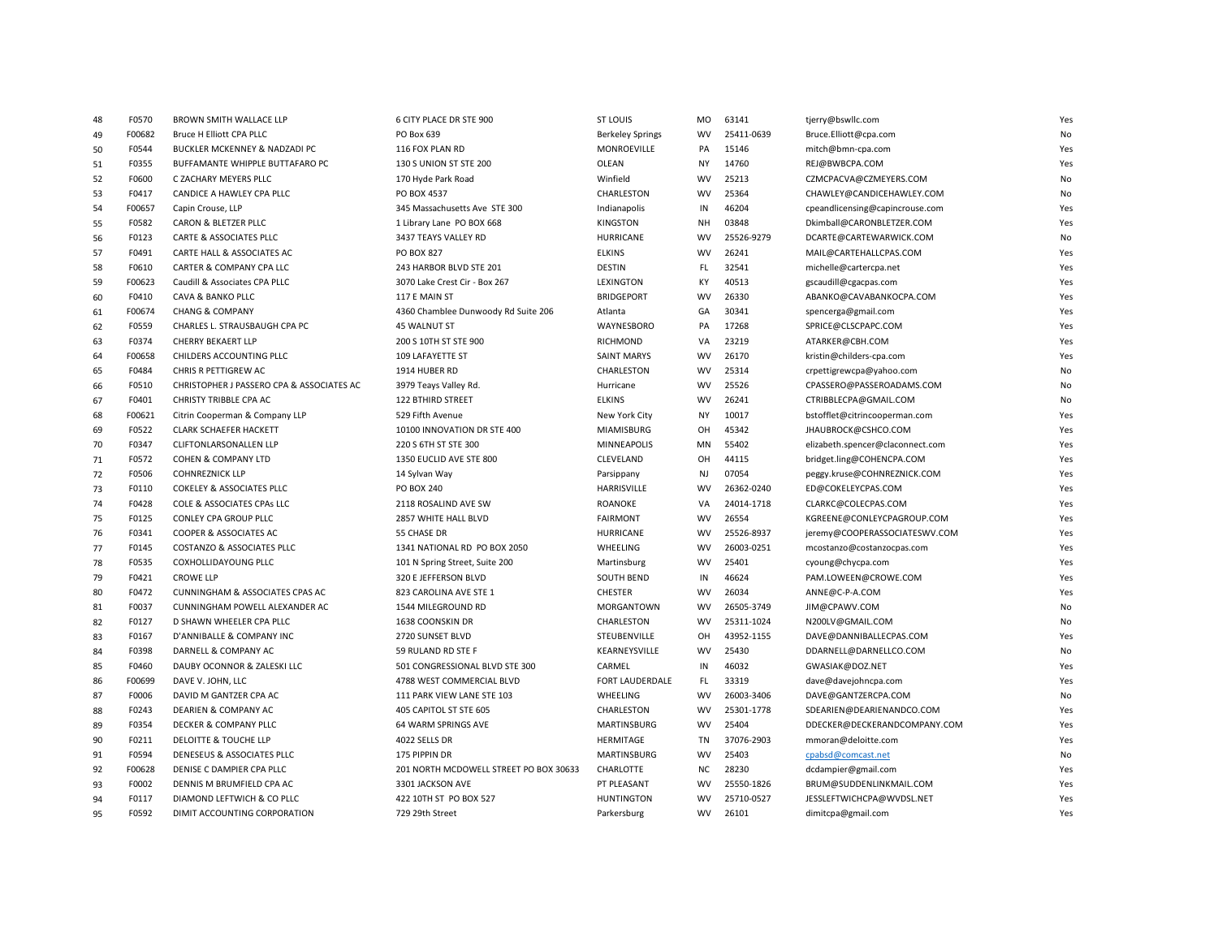| 48 | F0570  | BROWN SMITH WALLACE LLP                   | 6 CITY PLACE DR STE 900                | <b>ST LOUIS</b>         | <b>MO</b> | 63141      | tjerry@bswllc.com                | Yes |
|----|--------|-------------------------------------------|----------------------------------------|-------------------------|-----------|------------|----------------------------------|-----|
| 49 | F00682 | Bruce H Elliott CPA PLLC                  | PO Box 639                             | <b>Berkeley Springs</b> | <b>WV</b> | 25411-0639 | Bruce.Elliott@cpa.com            | No  |
| 50 | F0544  | BUCKLER MCKENNEY & NADZADI PC             | 116 FOX PLAN RD                        | MONROEVILLE             | PA        | 15146      | mitch@bmn-cpa.com                | Yes |
| 51 | F0355  | BUFFAMANTE WHIPPLE BUTTAFARO PC           | 130 S UNION ST STE 200                 | OLEAN                   | <b>NY</b> | 14760      | REJ@BWBCPA.COM                   | Yes |
| 52 | F0600  | C ZACHARY MEYERS PLLC                     | 170 Hyde Park Road                     | Winfield                | <b>WV</b> | 25213      | CZMCPACVA@CZMEYERS.COM           | No  |
| 53 | F0417  | CANDICE A HAWLEY CPA PLLC                 | PO BOX 4537                            | CHARLESTON              | <b>WV</b> | 25364      | CHAWLEY@CANDICEHAWLEY.COM        | No  |
| 54 | F00657 | Capin Crouse, LLP                         | 345 Massachusetts Ave STE 300          | Indianapolis            | IN        | 46204      | cpeandlicensing@capincrouse.com  | Yes |
| 55 | F0582  | CARON & BLETZER PLLC                      | 1 Library Lane PO BOX 668              | <b>KINGSTON</b>         | NH        | 03848      | Dkimball@CARONBLETZER.COM        | Yes |
| 56 | F0123  | CARTE & ASSOCIATES PLLC                   | 3437 TEAYS VALLEY RD                   | HURRICANE               | <b>WV</b> | 25526-9279 | DCARTE@CARTEWARWICK.COM          | No  |
| 57 | F0491  | CARTE HALL & ASSOCIATES AC                | <b>PO BOX 827</b>                      | <b>ELKINS</b>           | <b>WV</b> | 26241      | MAIL@CARTEHALLCPAS.COM           | Yes |
| 58 | F0610  | CARTER & COMPANY CPA LLC                  | 243 HARBOR BLVD STE 201                | <b>DESTIN</b>           | <b>FL</b> | 32541      | michelle@cartercpa.net           | Yes |
| 59 | F00623 | Caudill & Associates CPA PLLC             | 3070 Lake Crest Cir - Box 267          | LEXINGTON               | KY        | 40513      | gscaudill@cgacpas.com            | Yes |
| 60 | F0410  | CAVA & BANKO PLLC                         | 117 E MAIN ST                          | <b>BRIDGEPORT</b>       | <b>WV</b> | 26330      | ABANKO@CAVABANKOCPA.COM          | Yes |
| 61 | F00674 | <b>CHANG &amp; COMPANY</b>                | 4360 Chamblee Dunwoody Rd Suite 206    | Atlanta                 | GA        | 30341      | spencerga@gmail.com              | Yes |
| 62 | F0559  | CHARLES L. STRAUSBAUGH CPA PC             | 45 WALNUT ST                           | WAYNESBORO              | PA        | 17268      | SPRICE@CLSCPAPC.COM              | Yes |
| 63 | F0374  | CHERRY BEKAERT LLP                        | 200 S 10TH ST STE 900                  | <b>RICHMOND</b>         | VA        | 23219      | ATARKER@CBH.COM                  | Yes |
| 64 | F00658 | CHILDERS ACCOUNTING PLLC                  | 109 LAFAYETTE ST                       | <b>SAINT MARYS</b>      | <b>WV</b> | 26170      | kristin@childers-cpa.com         | Yes |
| 65 | F0484  | CHRIS R PETTIGREW AC                      | 1914 HUBER RD                          | CHARLESTON              | <b>WV</b> | 25314      | crpettigrewcpa@yahoo.com         | No  |
| 66 | F0510  | CHRISTOPHER J PASSERO CPA & ASSOCIATES AC | 3979 Teays Valley Rd.                  | Hurricane               | <b>WV</b> | 25526      | CPASSERO@PASSEROADAMS.COM        | No  |
| 67 | F0401  | CHRISTY TRIBBLE CPA AC                    | <b>122 BTHIRD STREET</b>               | <b>ELKINS</b>           | <b>WV</b> | 26241      | CTRIBBLECPA@GMAIL.COM            | No  |
| 68 | F00621 | Citrin Cooperman & Company LLP            | 529 Fifth Avenue                       | New York City           | <b>NY</b> | 10017      | bstofflet@citrincooperman.com    | Yes |
| 69 | F0522  | <b>CLARK SCHAEFER HACKETT</b>             | 10100 INNOVATION DR STE 400            | MIAMISBURG              | OH        | 45342      | JHAUBROCK@CSHCO.COM              | Yes |
| 70 | F0347  | <b>CLIFTONLARSONALLEN LLP</b>             | 220 S 6TH ST STE 300                   | <b>MINNEAPOLIS</b>      | MN        | 55402      | elizabeth.spencer@claconnect.com | Yes |
| 71 | F0572  | COHEN & COMPANY LTD                       | 1350 EUCLID AVE STE 800                | CLEVELAND               | OH        | 44115      | bridget.ling@COHENCPA.COM        | Yes |
| 72 | F0506  | <b>COHNREZNICK LLP</b>                    | 14 Sylvan Way                          | Parsippany              | <b>NJ</b> | 07054      | peggy.kruse@COHNREZNICK.COM      | Yes |
| 73 | F0110  | <b>COKELEY &amp; ASSOCIATES PLLC</b>      | PO BOX 240                             | HARRISVILLE             | <b>WV</b> | 26362-0240 | ED@COKELEYCPAS.COM               | Yes |
| 74 | F0428  | COLE & ASSOCIATES CPAs LLC                | 2118 ROSALIND AVE SW                   | ROANOKE                 | VA        | 24014-1718 | CLARKC@COLECPAS.COM              | Yes |
| 75 | F0125  | CONLEY CPA GROUP PLLC                     | 2857 WHITE HALL BLVD                   | <b>FAIRMONT</b>         | <b>WV</b> | 26554      | KGREENE@CONLEYCPAGROUP.COM       | Yes |
| 76 | F0341  | COOPER & ASSOCIATES AC                    | 55 CHASE DR                            | HURRICANE               | <b>WV</b> | 25526-8937 | jeremy@COOPERASSOCIATESWV.COM    | Yes |
| 77 | F0145  | COSTANZO & ASSOCIATES PLLC                | 1341 NATIONAL RD PO BOX 2050           | WHEELING                | <b>WV</b> | 26003-0251 | mcostanzo@costanzocpas.com       | Yes |
| 78 | F0535  | COXHOLLIDAYOUNG PLLC                      | 101 N Spring Street, Suite 200         | Martinsburg             | <b>WV</b> | 25401      | cyoung@chycpa.com                | Yes |
| 79 | F0421  | <b>CROWE LLP</b>                          | 320 E JEFFERSON BLVD                   | <b>SOUTH BEND</b>       | IN        | 46624      | PAM.LOWEEN@CROWE.COM             | Yes |
| 80 | F0472  | CUNNINGHAM & ASSOCIATES CPAS AC           | 823 CAROLINA AVE STE 1                 | <b>CHESTER</b>          | <b>WV</b> | 26034      | ANNE@C-P-A.COM                   | Yes |
| 81 | F0037  | CUNNINGHAM POWELL ALEXANDER AC            | 1544 MILEGROUND RD                     | MORGANTOWN              | <b>WV</b> | 26505-3749 | JIM@CPAWV.COM                    | No  |
| 82 | F0127  | D SHAWN WHEELER CPA PLLC                  | 1638 COONSKIN DR                       | CHARLESTON              | <b>WV</b> | 25311-1024 | N200LV@GMAIL.COM                 | No  |
| 83 | F0167  | D'ANNIBALLE & COMPANY INC                 | 2720 SUNSET BLVD                       | STEUBENVILLE            | OH        | 43952-1155 | DAVE@DANNIBALLECPAS.COM          | Yes |
| 84 | F0398  | DARNELL & COMPANY AC                      | 59 RULAND RD STE F                     | KEARNEYSVILLE           | <b>WV</b> | 25430      | DDARNELL@DARNELLCO.COM           | No  |
| 85 | F0460  | DAUBY OCONNOR & ZALESKI LLC               | 501 CONGRESSIONAL BLVD STE 300         | CARMEL                  | IN        | 46032      | GWASIAK@DOZ.NET                  | Yes |
| 86 | F00699 | DAVE V. JOHN, LLC                         | 4788 WEST COMMERCIAL BLVD              | FORT LAUDERDALE         | FL        | 33319      | dave@davejohncpa.com             | Yes |
| 87 | F0006  | DAVID M GANTZER CPA AC                    | 111 PARK VIEW LANE STE 103             | <b>WHEELING</b>         | <b>WV</b> | 26003-3406 | DAVE@GANTZERCPA.COM              | No  |
| 88 | F0243  | DEARIEN & COMPANY AC                      | 405 CAPITOL ST STE 605                 | CHARLESTON              | <b>WV</b> | 25301-1778 | SDEARIEN@DEARIENANDCO.COM        | Yes |
| 89 | F0354  | DECKER & COMPANY PLLC                     | 64 WARM SPRINGS AVE                    | <b>MARTINSBURG</b>      | <b>WV</b> | 25404      | DDECKER@DECKERANDCOMPANY.COM     | Yes |
| 90 | F0211  | DELOITTE & TOUCHE LLP                     | 4022 SELLS DR                          | <b>HERMITAGE</b>        | TN        | 37076-2903 | mmoran@deloitte.com              | Yes |
| 91 | F0594  | DENESEUS & ASSOCIATES PLLC                | 175 PIPPIN DR                          | <b>MARTINSBURG</b>      | <b>WV</b> | 25403      | cpabsd@comcast.net               | No  |
| 92 | F00628 | DENISE C DAMPIER CPA PLLC                 | 201 NORTH MCDOWELL STREET PO BOX 30633 | CHARLOTTE               | ΝC        | 28230      | dcdampier@gmail.com              | Yes |
| 93 | F0002  | DENNIS M BRUMFIELD CPA AC                 | 3301 JACKSON AVE                       | PT PLEASANT             | <b>WV</b> | 25550-1826 | BRUM@SUDDENLINKMAIL.COM          | Yes |
| 94 | F0117  | DIAMOND LEFTWICH & CO PLLC                | 422 10TH ST PO BOX 527                 | <b>HUNTINGTON</b>       | <b>WV</b> | 25710-0527 | JESSLEFTWICHCPA@WVDSL.NET        | Yes |
| 95 | F0592  | DIMIT ACCOUNTING CORPORATION              | 729 29th Street                        | Parkersburg             | <b>WV</b> | 26101      | dimitcpa@gmail.com               | Yes |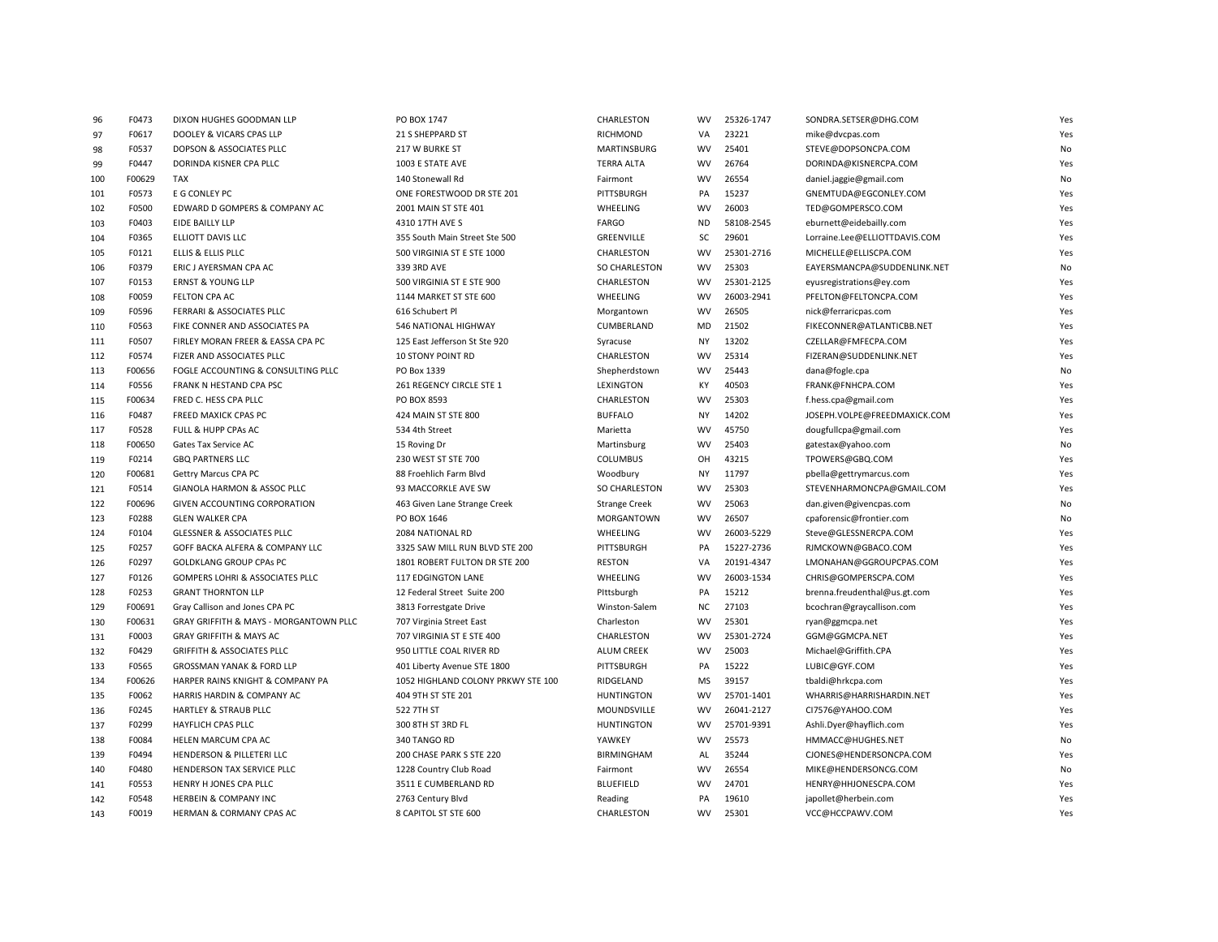| 96  | F0473  | DIXON HUGHES GOODMAN LLP                   | PO BOX 1747                        | CHARLESTON           | WV        | 25326-1747 | SONDRA.SETSER@DHG.COM         | Yes       |
|-----|--------|--------------------------------------------|------------------------------------|----------------------|-----------|------------|-------------------------------|-----------|
| 97  | F0617  | DOOLEY & VICARS CPAS LLP                   | 21 S SHEPPARD ST                   | <b>RICHMOND</b>      | VA        | 23221      | mike@dvcpas.com               | Yes       |
| 98  | F0537  | DOPSON & ASSOCIATES PLLC                   | 217 W BURKE ST                     | <b>MARTINSBURG</b>   | <b>WV</b> | 25401      | STEVE@DOPSONCPA.COM           | No        |
| 99  | F0447  | DORINDA KISNER CPA PLLC                    | 1003 E STATE AVE                   | <b>TERRA ALTA</b>    | <b>WV</b> | 26764      | DORINDA@KISNERCPA.COM         | Yes       |
| 100 | F00629 | <b>TAX</b>                                 | 140 Stonewall Rd                   | Fairmont             | <b>WV</b> | 26554      | daniel.jaggie@gmail.com       | No        |
| 101 | F0573  | E G CONLEY PC                              | ONE FORESTWOOD DR STE 201          | PITTSBURGH           | PA        | 15237      | GNEMTUDA@EGCONLEY.COM         | Yes       |
| 102 | F0500  | EDWARD D GOMPERS & COMPANY AC              | 2001 MAIN ST STE 401               | WHEELING             | <b>WV</b> | 26003      | TED@GOMPERSCO.COM             | Yes       |
| 103 | F0403  | EIDE BAILLY LLP                            | 4310 17TH AVE S                    | <b>FARGO</b>         | <b>ND</b> | 58108-2545 | eburnett@eidebailly.com       | Yes       |
| 104 | F0365  | ELLIOTT DAVIS LLC                          | 355 South Main Street Ste 500      | GREENVILLE           | SC        | 29601      | Lorraine.Lee@ELLIOTTDAVIS.COM | Yes       |
| 105 | F0121  | ELLIS & ELLIS PLLC                         | 500 VIRGINIA ST E STE 1000         | CHARLESTON           | <b>WV</b> | 25301-2716 | MICHELLE@ELLISCPA.COM         | Yes       |
| 106 | F0379  | ERIC J AYERSMAN CPA AC                     | 339 3RD AVE                        | <b>SO CHARLESTON</b> | <b>WV</b> | 25303      | EAYERSMANCPA@SUDDENLINK.NET   | No        |
| 107 | F0153  | <b>ERNST &amp; YOUNG LLP</b>               | 500 VIRGINIA ST E STE 900          | CHARLESTON           | <b>WV</b> | 25301-2125 | eyusregistrations@ey.com      | Yes       |
| 108 | F0059  | FELTON CPA AC                              | 1144 MARKET ST STE 600             | WHEELING             | <b>WV</b> | 26003-2941 | PFELTON@FELTONCPA.COM         | Yes       |
| 109 | F0596  | <b>FERRARI &amp; ASSOCIATES PLLC</b>       | 616 Schubert Pl                    | Morgantown           | <b>WV</b> | 26505      | nick@ferraricpas.com          | Yes       |
| 110 | F0563  | FIKE CONNER AND ASSOCIATES PA              | 546 NATIONAL HIGHWAY               | CUMBERLAND           | MD        | 21502      | FIKECONNER@ATLANTICBB.NET     | Yes       |
| 111 | F0507  | FIRLEY MORAN FREER & EASSA CPA PC          | 125 East Jefferson St Ste 920      | Syracuse             | <b>NY</b> | 13202      | CZELLAR@FMFECPA.COM           | Yes       |
| 112 | F0574  | FIZER AND ASSOCIATES PLLC                  | 10 STONY POINT RD                  | CHARLESTON           | <b>WV</b> | 25314      | FIZERAN@SUDDENLINK.NET        | Yes       |
| 113 | F00656 | FOGLE ACCOUNTING & CONSULTING PLLC         | PO Box 1339                        | Shepherdstown        | <b>WV</b> | 25443      | dana@fogle.cpa                | <b>No</b> |
| 114 | F0556  | FRANK N HESTAND CPA PSC                    | 261 REGENCY CIRCLE STE 1           | LEXINGTON            | KY        | 40503      | FRANK@FNHCPA.COM              | Yes       |
| 115 | F00634 | FRED C. HESS CPA PLLC                      | PO BOX 8593                        | CHARLESTON           | <b>WV</b> | 25303      | f.hess.cpa@gmail.com          | Yes       |
| 116 | F0487  | FREED MAXICK CPAS PC                       | 424 MAIN ST STE 800                | <b>BUFFALO</b>       | NY        | 14202      | JOSEPH.VOLPE@FREEDMAXICK.COM  | Yes       |
| 117 | F0528  | <b>FULL &amp; HUPP CPAS AC</b>             | 534 4th Street                     | Marietta             | <b>WV</b> | 45750      | dougfullcpa@gmail.com         | Yes       |
| 118 | F00650 | Gates Tax Service AC                       | 15 Roving Dr                       | Martinsburg          | <b>WV</b> | 25403      | gatestax@yahoo.com            | No        |
| 119 | F0214  | <b>GBQ PARTNERS LLC</b>                    | 230 WEST ST STE 700                | <b>COLUMBUS</b>      | OH        | 43215      | TPOWERS@GBQ.COM               | Yes       |
| 120 | F00681 | Gettry Marcus CPA PC                       | 88 Froehlich Farm Blvd             | Woodbury             | NY        | 11797      | pbella@gettrymarcus.com       | Yes       |
| 121 | F0514  | GIANOLA HARMON & ASSOC PLLC                | 93 MACCORKLE AVE SW                | <b>SO CHARLESTON</b> | <b>WV</b> | 25303      | STEVENHARMONCPA@GMAIL.COM     | Yes       |
| 122 | F00696 | GIVEN ACCOUNTING CORPORATION               | 463 Given Lane Strange Creek       | <b>Strange Creek</b> | <b>WV</b> | 25063      | dan.given@givencpas.com       | No        |
| 123 | F0288  | <b>GLEN WALKER CPA</b>                     | PO BOX 1646                        | MORGANTOWN           | <b>WV</b> | 26507      | cpaforensic@frontier.com      | No        |
| 124 | F0104  | GLESSNER & ASSOCIATES PLLC                 | 2084 NATIONAL RD                   | WHEELING             | <b>WV</b> | 26003-5229 | Steve@GLESSNERCPA.COM         | Yes       |
| 125 | F0257  | GOFF BACKA ALFERA & COMPANY LLC            | 3325 SAW MILL RUN BLVD STE 200     | PITTSBURGH           | PA        | 15227-2736 | RJMCKOWN@GBACO.COM            | Yes       |
| 126 | F0297  | <b>GOLDKLANG GROUP CPAs PC</b>             | 1801 ROBERT FULTON DR STE 200      | <b>RESTON</b>        | VA        | 20191-4347 | LMONAHAN@GGROUPCPAS.COM       | Yes       |
| 127 | F0126  | <b>GOMPERS LOHRI &amp; ASSOCIATES PLLC</b> | <b>117 EDGINGTON LANE</b>          | WHEELING             | <b>WV</b> | 26003-1534 | CHRIS@GOMPERSCPA.COM          | Yes       |
| 128 | F0253  | <b>GRANT THORNTON LLP</b>                  | 12 Federal Street Suite 200        | Pittsburgh           | PA        | 15212      | brenna.freudenthal@us.gt.com  | Yes       |
| 129 | F00691 | Gray Callison and Jones CPA PC             | 3813 Forrestgate Drive             | Winston-Salem        | <b>NC</b> | 27103      | bcochran@graycallison.com     | Yes       |
| 130 | F00631 | GRAY GRIFFITH & MAYS - MORGANTOWN PLLC     | 707 Virginia Street East           | Charleston           | <b>WV</b> | 25301      | ryan@ggmcpa.net               | Yes       |
| 131 | F0003  | <b>GRAY GRIFFITH &amp; MAYS AC</b>         | 707 VIRGINIA ST E STE 400          | CHARLESTON           | <b>WV</b> | 25301-2724 | GGM@GGMCPA.NET                | Yes       |
| 132 | F0429  | <b>GRIFFITH &amp; ASSOCIATES PLLC</b>      | 950 LITTLE COAL RIVER RD           | <b>ALUM CREEK</b>    | <b>WV</b> | 25003      | Michael@Griffith.CPA          | Yes       |
| 133 | F0565  | <b>GROSSMAN YANAK &amp; FORD LLP</b>       | 401 Liberty Avenue STE 1800        | PITTSBURGH           | PA        | 15222      | LUBIC@GYF.COM                 | Yes       |
| 134 | F00626 | HARPER RAINS KNIGHT & COMPANY PA           | 1052 HIGHLAND COLONY PRKWY STE 100 | RIDGELAND            | MS        | 39157      | tbaldi@hrkcpa.com             | Yes       |
| 135 | F0062  | HARRIS HARDIN & COMPANY AC                 | 404 9TH ST STE 201                 | <b>HUNTINGTON</b>    | <b>WV</b> | 25701-1401 | WHARRIS@HARRISHARDIN.NET      | Yes       |
| 136 | F0245  | HARTLEY & STRAUB PLLC                      | 522 7TH ST                         | MOUNDSVILLE          | <b>WV</b> | 26041-2127 | CI7576@YAHOO.COM              | Yes       |
| 137 | F0299  | HAYFLICH CPAS PLLC                         | 300 8TH ST 3RD FL                  | <b>HUNTINGTON</b>    | <b>WV</b> | 25701-9391 | Ashli.Dyer@hayflich.com       | Yes       |
| 138 | F0084  | HELEN MARCUM CPA AC                        | 340 TANGO RD                       | YAWKEY               | <b>WV</b> | 25573      | HMMACC@HUGHES.NET             | No        |
| 139 | F0494  | HENDERSON & PILLETERI LLC                  | 200 CHASE PARK S STE 220           | <b>BIRMINGHAM</b>    | AL        | 35244      | CJONES@HENDERSONCPA.COM       | Yes       |
| 140 | F0480  | HENDERSON TAX SERVICE PLLC                 | 1228 Country Club Road             | Fairmont             | <b>WV</b> | 26554      | MIKE@HENDERSONCG.COM          | No        |
| 141 | F0553  | HENRY H JONES CPA PLLC                     | 3511 E CUMBERLAND RD               | <b>BLUEFIELD</b>     | <b>WV</b> | 24701      | HENRY@HHJONESCPA.COM          | Yes       |
| 142 | F0548  | HERBEIN & COMPANY INC                      | 2763 Century Blvd                  | Reading              | PA        | 19610      | japollet@herbein.com          | Yes       |
| 143 | F0019  | HERMAN & CORMANY CPAS AC                   | 8 CAPITOL ST STE 600               | CHARLESTON           | <b>WV</b> | 25301      | VCC@HCCPAWV.COM               | Yes       |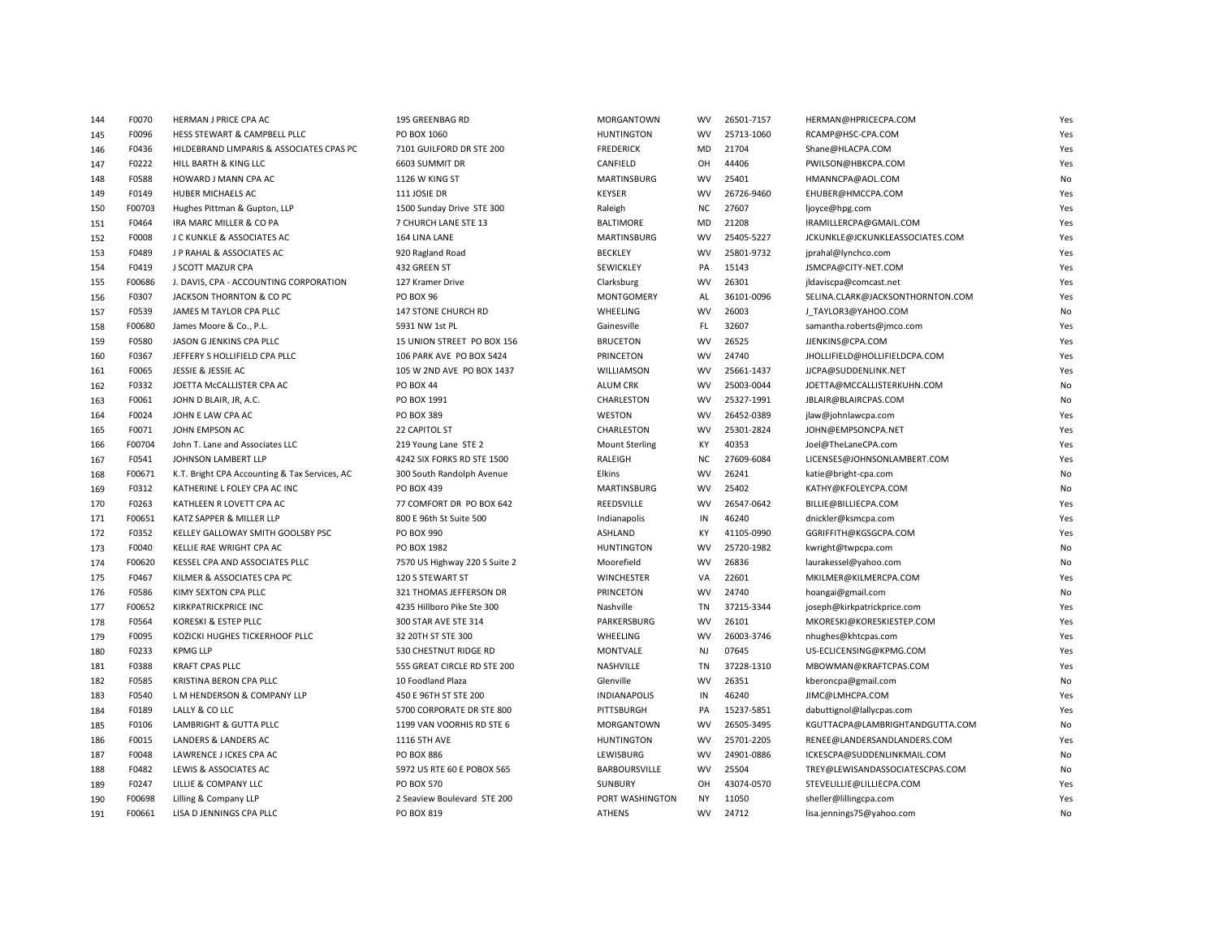| 144 | F0070  | HERMAN J PRICE CPA AC                         | 195 GREENBAG RD               | MORGANTOWN            | WV        | 26501-7157 | HERMAN@HPRICECPA.COM             | Yes       |
|-----|--------|-----------------------------------------------|-------------------------------|-----------------------|-----------|------------|----------------------------------|-----------|
| 145 | F0096  | HESS STEWART & CAMPBELL PLLC                  | PO BOX 1060                   | <b>HUNTINGTON</b>     | <b>WV</b> | 25713-1060 | RCAMP@HSC-CPA.COM                | Yes       |
| 146 | F0436  | HILDEBRAND LIMPARIS & ASSOCIATES CPAS PC      | 7101 GUILFORD DR STE 200      | <b>FREDERICK</b>      | MD        | 21704      | Shane@HLACPA.COM                 | Yes       |
| 147 | F0222  | HILL BARTH & KING LLC                         | 6603 SUMMIT DR                | CANFIELD              | OH        | 44406      | PWILSON@HBKCPA.COM               | Yes       |
| 148 | F0588  | HOWARD J MANN CPA AC                          | 1126 W KING ST                | MARTINSBURG           | <b>WV</b> | 25401      | HMANNCPA@AOL.COM                 | No        |
| 149 | F0149  | HUBER MICHAELS AC                             | 111 JOSIE DR                  | <b>KEYSER</b>         | <b>WV</b> | 26726-9460 | EHUBER@HMCCPA.COM                | Yes       |
| 150 | F00703 | Hughes Pittman & Gupton, LLP                  | 1500 Sunday Drive STE 300     | Raleigh               | <b>NC</b> | 27607      | ljoyce@hpg.com                   | Yes       |
| 151 | F0464  | IRA MARC MILLER & CO PA                       | 7 CHURCH LANE STE 13          | <b>BALTIMORE</b>      | MD        | 21208      | IRAMILLERCPA@GMAIL.COM           | Yes       |
| 152 | F0008  | J C KUNKLE & ASSOCIATES AC                    | 164 LINA LANE                 | <b>MARTINSBURG</b>    | <b>WV</b> | 25405-5227 | JCKUNKLE@JCKUNKLEASSOCIATES.COM  | Yes       |
| 153 | F0489  | J P RAHAL & ASSOCIATES AC                     | 920 Ragland Road              | <b>BECKLEY</b>        | <b>WV</b> | 25801-9732 | jprahal@lynchco.com              | Yes       |
| 154 | F0419  | J SCOTT MAZUR CPA                             | 432 GREEN ST                  | SEWICKLEY             | PA        | 15143      | JSMCPA@CITY-NET.COM              | Yes       |
| 155 | F00686 | J. DAVIS, CPA - ACCOUNTING CORPORATION        | 127 Kramer Drive              | Clarksburg            | <b>WV</b> | 26301      | jldaviscpa@comcast.net           | Yes       |
| 156 | F0307  | JACKSON THORNTON & CO PC                      | <b>PO BOX 96</b>              | <b>MONTGOMERY</b>     | AL        | 36101-0096 | SELINA.CLARK@JACKSONTHORNTON.COM | Yes       |
| 157 | F0539  | JAMES M TAYLOR CPA PLLC                       | 147 STONE CHURCH RD           | WHEELING              | <b>WV</b> | 26003      | J TAYLOR3@YAHOO.COM              | No        |
| 158 | F00680 | James Moore & Co., P.L.                       | 5931 NW 1st PL                | Gainesville           | FL        | 32607      | samantha.roberts@jmco.com        | Yes       |
| 159 | F0580  | JASON G JENKINS CPA PLLC                      | 15 UNION STREET PO BOX 156    | <b>BRUCETON</b>       | <b>WV</b> | 26525      | JJENKINS@CPA.COM                 | Yes       |
| 160 | F0367  | JEFFERY S HOLLIFIELD CPA PLLC                 | 106 PARK AVE PO BOX 5424      | PRINCETON             | <b>WV</b> | 24740      | JHOLLIFIELD@HOLLIFIELDCPA.COM    | Yes       |
| 161 | F0065  | JESSIE & JESSIE AC                            | 105 W 2ND AVE PO BOX 1437     | WILLIAMSON            | <b>WV</b> | 25661-1437 | JJCPA@SUDDENLINK.NET             | Yes       |
| 162 | F0332  | JOETTA McCALLISTER CPA AC                     | <b>PO BOX 44</b>              | <b>ALUM CRK</b>       | <b>WV</b> | 25003-0044 | JOETTA@MCCALLISTERKUHN.COM       | No        |
| 163 | F0061  | JOHN D BLAIR, JR, A.C.                        | PO BOX 1991                   | CHARLESTON            | <b>WV</b> | 25327-1991 | JBLAIR@BLAIRCPAS.COM             | No        |
| 164 | F0024  | JOHN E LAW CPA AC                             | PO BOX 389                    | <b>WESTON</b>         | <b>WV</b> | 26452-0389 | jlaw@johnlawcpa.com              | Yes       |
| 165 | F0071  | JOHN EMPSON AC                                | 22 CAPITOL ST                 | CHARLESTON            | <b>WV</b> | 25301-2824 | JOHN@EMPSONCPA.NET               | Yes       |
| 166 | F00704 | John T. Lane and Associates LLC               | 219 Young Lane STE 2          | <b>Mount Sterling</b> | <b>KY</b> | 40353      | Joel@TheLaneCPA.com              | Yes       |
| 167 | F0541  | JOHNSON LAMBERT LLP                           | 4242 SIX FORKS RD STE 1500    | RALEIGH               | ΝC        | 27609-6084 | LICENSES@JOHNSONLAMBERT.COM      | Yes       |
| 168 | F00671 | K.T. Bright CPA Accounting & Tax Services, AC | 300 South Randolph Avenue     | Elkins                | <b>WV</b> | 26241      | katie@bright-cpa.com             | No        |
| 169 | F0312  | KATHERINE L FOLEY CPA AC INC                  | PO BOX 439                    | MARTINSBURG           | <b>WV</b> | 25402      | KATHY@KFOLEYCPA.COM              | No        |
| 170 | F0263  | KATHLEEN R LOVETT CPA AC                      | 77 COMFORT DR PO BOX 642      | <b>REEDSVILLE</b>     | <b>WV</b> | 26547-0642 | BILLIE@BILLIECPA.COM             | Yes       |
| 171 | F00651 | KATZ SAPPER & MILLER LLP                      | 800 E 96th St Suite 500       | Indianapolis          | IN        | 46240      | dnickler@ksmcpa.com              | Yes       |
| 172 | F0352  | KELLEY GALLOWAY SMITH GOOLSBY PSC             | <b>PO BOX 990</b>             | <b>ASHLAND</b>        | KY        | 41105-0990 | GGRIFFITH@KGSGCPA.COM            | Yes       |
| 173 | F0040  | KELLIE RAE WRIGHT CPA AC                      | PO BOX 1982                   | <b>HUNTINGTON</b>     | <b>WV</b> | 25720-1982 | kwright@twpcpa.com               | No        |
| 174 | F00620 | KESSEL CPA AND ASSOCIATES PLLC                | 7570 US Highway 220 S Suite 2 | Moorefield            | <b>WV</b> | 26836      | laurakessel@yahoo.com            | <b>No</b> |
| 175 | F0467  | KILMER & ASSOCIATES CPA PC                    | 120 S STEWART ST              | <b>WINCHESTER</b>     | VA        | 22601      | MKILMER@KILMERCPA.COM            | Yes       |
| 176 | F0586  | KIMY SEXTON CPA PLLC                          | 321 THOMAS JEFFERSON DR       | PRINCETON             | WV        | 24740      | hoangai@gmail.com                | No        |
| 177 | F00652 | <b>KIRKPATRICKPRICE INC</b>                   | 4235 Hillboro Pike Ste 300    | Nashville             | TN        | 37215-3344 | joseph@kirkpatrickprice.com      | Yes       |
| 178 | F0564  | KORESKI & ESTEP PLLC                          | 300 STAR AVE STE 314          | PARKERSBURG           | <b>WV</b> | 26101      | MKORESKI@KORESKIESTEP.COM        | Yes       |
| 179 | F0095  | KOZICKI HUGHES TICKERHOOF PLLC                | 32 20TH ST STE 300            | WHEELING              | <b>WV</b> | 26003-3746 | nhughes@khtcpas.com              | Yes       |
| 180 | F0233  | <b>KPMG LLP</b>                               | 530 CHESTNUT RIDGE RD         | <b>MONTVALE</b>       | <b>NJ</b> | 07645      | US-ECLICENSING@KPMG.COM          | Yes       |
| 181 | F0388  | <b>KRAFT CPAS PLLC</b>                        | 555 GREAT CIRCLE RD STE 200   | NASHVILLE             | TN        | 37228-1310 | MBOWMAN@KRAFTCPAS.COM            | Yes       |
| 182 | F0585  | KRISTINA BERON CPA PLLC                       | 10 Foodland Plaza             | Glenville             | <b>WV</b> | 26351      | kberoncpa@gmail.com              | No        |
| 183 | F0540  | L M HENDERSON & COMPANY LLP                   | 450 E 96TH ST STE 200         | <b>INDIANAPOLIS</b>   | IN        | 46240      | JIMC@LMHCPA.COM                  | Yes       |
| 184 | F0189  | LALLY & CO LLC                                | 5700 CORPORATE DR STE 800     | PITTSBURGH            | PA        | 15237-5851 | dabuttignol@lallycpas.com        | Yes       |
| 185 | F0106  | LAMBRIGHT & GUTTA PLLC                        | 1199 VAN VOORHIS RD STE 6     | <b>MORGANTOWN</b>     | <b>WV</b> | 26505-3495 | KGUTTACPA@LAMBRIGHTANDGUTTA.COM  | No        |
| 186 | F0015  | LANDERS & LANDERS AC                          | 1116 5TH AVE                  | <b>HUNTINGTON</b>     | <b>WV</b> | 25701-2205 | RENEE@LANDERSANDLANDERS.COM      | Yes       |
| 187 | F0048  | LAWRENCE J ICKES CPA AC                       | <b>PO BOX 886</b>             | LEWISBURG             | <b>WV</b> | 24901-0886 | ICKESCPA@SUDDENLINKMAIL.COM      | No        |
| 188 | F0482  | LEWIS & ASSOCIATES AC                         | 5972 US RTE 60 E POBOX 565    | BARBOURSVILLE         | <b>WV</b> | 25504      | TREY@LEWISANDASSOCIATESCPAS.COM  | No        |
| 189 | F0247  | LILLIE & COMPANY LLC                          | <b>PO BOX 570</b>             | <b>SUNBURY</b>        | OH        | 43074-0570 | STEVELILLIE@LILLIECPA.COM        | Yes       |
| 190 | F00698 | Lilling & Company LLP                         | 2 Seaview Boulevard STE 200   | PORT WASHINGTON       | NY        | 11050      | sheller@lillingcpa.com           | Yes       |
| 191 | F00661 | LISA D JENNINGS CPA PLLC                      | PO BOX 819                    | <b>ATHENS</b>         | <b>WV</b> | 24712      | lisa.jennings75@yahoo.com        | No        |
|     |        |                                               |                               |                       |           |            |                                  |           |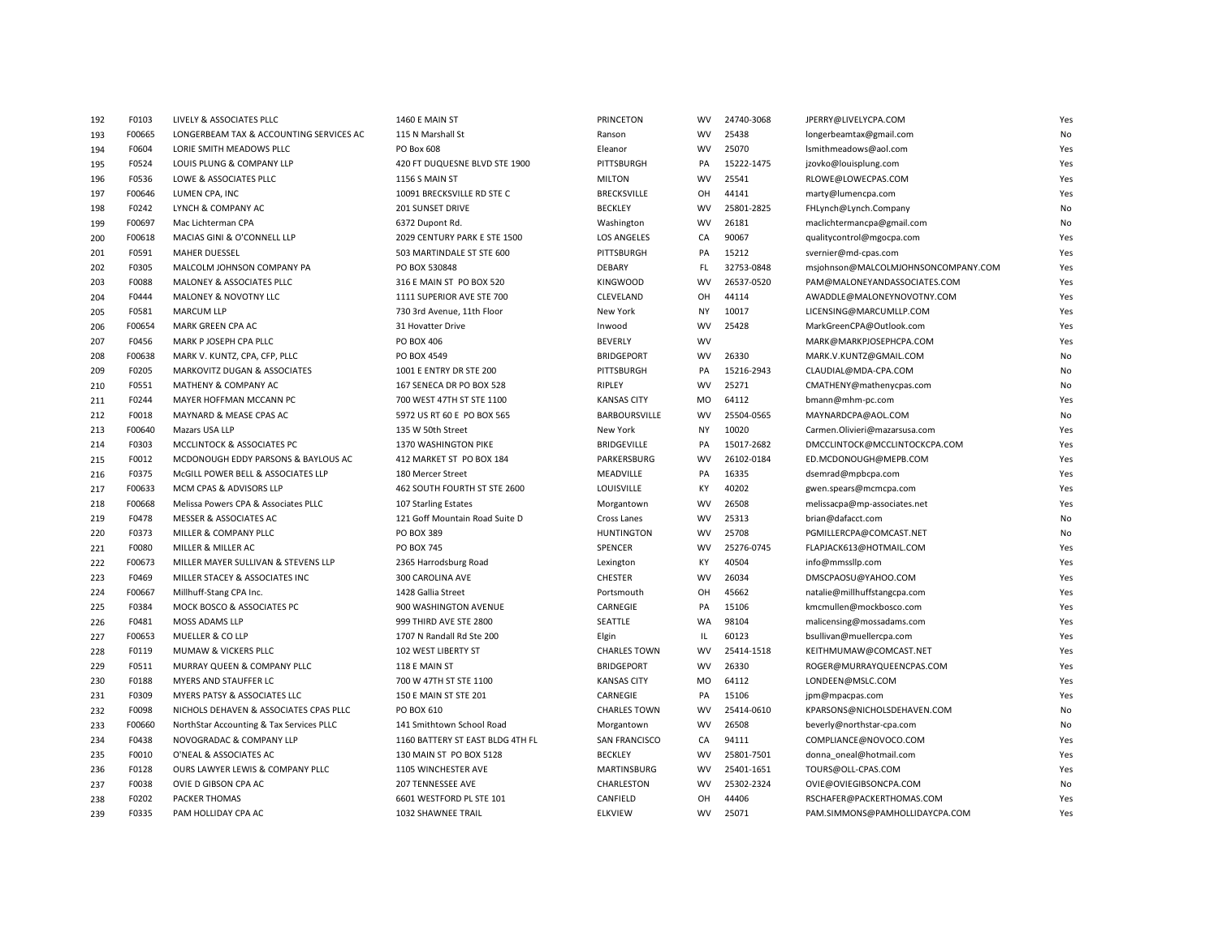| 192 | F0103  | LIVELY & ASSOCIATES PLLC                 | 1460 E MAIN ST                   | PRINCETON            | WV        | 24740-3068 | JPERRY@LIVELYCPA.COM                | Yes       |
|-----|--------|------------------------------------------|----------------------------------|----------------------|-----------|------------|-------------------------------------|-----------|
| 193 | F00665 | LONGERBEAM TAX & ACCOUNTING SERVICES AC  | 115 N Marshall St                | Ranson               | <b>WV</b> | 25438      | longerbeamtax@gmail.com             | No        |
| 194 | F0604  | LORIE SMITH MEADOWS PLLC                 | PO Box 608                       | Eleanor              | <b>WV</b> | 25070      | lsmithmeadows@aol.com               | Yes       |
| 195 | F0524  | LOUIS PLUNG & COMPANY LLP                | 420 FT DUQUESNE BLVD STE 1900    | <b>PITTSBURGH</b>    | PA        | 15222-1475 | jzovko@louisplung.com               | Yes       |
| 196 | F0536  | LOWE & ASSOCIATES PLLC                   | <b>1156 S MAIN ST</b>            | <b>MILTON</b>        | <b>WV</b> | 25541      | RLOWE@LOWECPAS.COM                  | Yes       |
| 197 | F00646 | LUMEN CPA, INC                           | 10091 BRECKSVILLE RD STE C       | <b>BRECKSVILLE</b>   | OH        | 44141      | marty@lumencpa.com                  | Yes       |
| 198 | F0242  | LYNCH & COMPANY AC                       | 201 SUNSET DRIVE                 | <b>BECKLEY</b>       | <b>WV</b> | 25801-2825 | FHLynch@Lynch.Company               | No        |
| 199 | F00697 | Mac Lichterman CPA                       | 6372 Dupont Rd.                  | Washington           | <b>WV</b> | 26181      | maclichtermancpa@gmail.com          | No        |
| 200 | F00618 | MACIAS GINI & O'CONNELL LLP              | 2029 CENTURY PARK E STE 1500     | <b>LOS ANGELES</b>   | CA        | 90067      | qualitycontrol@mgocpa.com           | Yes       |
| 201 | F0591  | <b>MAHER DUESSEL</b>                     | 503 MARTINDALE ST STE 600        | PITTSBURGH           | PA        | 15212      | svernier@md-cpas.com                | Yes       |
| 202 | F0305  | MALCOLM JOHNSON COMPANY PA               | PO BOX 530848                    | DEBARY               | FL        | 32753-0848 | msjohnson@MALCOLMJOHNSONCOMPANY.COM | Yes       |
| 203 | F0088  | MALONEY & ASSOCIATES PLLC                | 316 E MAIN ST PO BOX 520         | <b>KINGWOOD</b>      | <b>WV</b> | 26537-0520 | PAM@MALONEYANDASSOCIATES.COM        | Yes       |
| 204 | F0444  | MALONEY & NOVOTNY LLC                    | 1111 SUPERIOR AVE STE 700        | CLEVELAND            | OH        | 44114      | AWADDLE@MALONEYNOVOTNY.COM          | Yes       |
| 205 | F0581  | <b>MARCUM LLP</b>                        | 730 3rd Avenue, 11th Floor       | New York             | <b>NY</b> | 10017      | LICENSING@MARCUMLLP.COM             | Yes       |
| 206 | F00654 | MARK GREEN CPA AC                        | 31 Hovatter Drive                | Inwood               | <b>WV</b> | 25428      | MarkGreenCPA@Outlook.com            | Yes       |
| 207 | F0456  | MARK P JOSEPH CPA PLLC                   | PO BOX 406                       | <b>BEVERLY</b>       | <b>WV</b> |            | MARK@MARKPJOSEPHCPA.COM             | Yes       |
| 208 | F00638 | MARK V. KUNTZ, CPA, CFP, PLLC            | PO BOX 4549                      | <b>BRIDGEPORT</b>    | <b>WV</b> | 26330      | MARK.V.KUNTZ@GMAIL.COM              | No        |
| 209 | F0205  | MARKOVITZ DUGAN & ASSOCIATES             | 1001 E ENTRY DR STE 200          | PITTSBURGH           | PA        | 15216-2943 | CLAUDIAL@MDA-CPA.COM                | No        |
| 210 | F0551  | MATHENY & COMPANY AC                     | 167 SENECA DR PO BOX 528         | <b>RIPLEY</b>        | <b>WV</b> | 25271      | CMATHENY@mathenycpas.com            | No        |
| 211 | F0244  | MAYER HOFFMAN MCCANN PC                  | 700 WEST 47TH ST STE 1100        | <b>KANSAS CITY</b>   | MO        | 64112      | bmann@mhm-pc.com                    | Yes       |
| 212 | F0018  | MAYNARD & MEASE CPAS AC                  | 5972 US RT 60 E PO BOX 565       | <b>BARBOURSVILLE</b> | <b>WV</b> | 25504-0565 | MAYNARDCPA@AOL.COM                  | <b>No</b> |
| 213 | F00640 | Mazars USA LLP                           | 135 W 50th Street                | New York             | NY        | 10020      | Carmen.Olivieri@mazarsusa.com       | Yes       |
| 214 | F0303  | MCCLINTOCK & ASSOCIATES PC               | 1370 WASHINGTON PIKE             | <b>BRIDGEVILLE</b>   | PA        | 15017-2682 | DMCCLINTOCK@MCCLINTOCKCPA.COM       | Yes       |
| 215 | F0012  | MCDONOUGH EDDY PARSONS & BAYLOUS AC      | 412 MARKET ST PO BOX 184         | PARKERSBURG          | <b>WV</b> | 26102-0184 | ED.MCDONOUGH@MEPB.COM               | Yes       |
| 216 | F0375  | McGILL POWER BELL & ASSOCIATES LLP       | 180 Mercer Street                | MEADVILLE            | PA        | 16335      | dsemrad@mpbcpa.com                  | Yes       |
| 217 | F00633 | MCM CPAS & ADVISORS LLP                  | 462 SOUTH FOURTH ST STE 2600     | LOUISVILLE           | KY        | 40202      | gwen.spears@mcmcpa.com              | Yes       |
| 218 | F00668 | Melissa Powers CPA & Associates PLLC     | 107 Starling Estates             | Morgantown           | <b>WV</b> | 26508      | melissacpa@mp-associates.net        | Yes       |
| 219 | F0478  | MESSER & ASSOCIATES AC                   | 121 Goff Mountain Road Suite D   | Cross Lanes          | <b>WV</b> | 25313      | brian@dafacct.com                   | No        |
| 220 | F0373  | MILLER & COMPANY PLLC                    | <b>PO BOX 389</b>                | <b>HUNTINGTON</b>    | <b>WV</b> | 25708      | PGMILLERCPA@COMCAST.NET             | No        |
| 221 | F0080  | MILLER & MILLER AC                       | <b>PO BOX 745</b>                | SPENCER              | <b>WV</b> | 25276-0745 | FLAPJACK613@HOTMAIL.COM             | Yes       |
| 222 | F00673 | MILLER MAYER SULLIVAN & STEVENS LLP      | 2365 Harrodsburg Road            | Lexington            | KY        | 40504      | info@mmssllp.com                    | Yes       |
| 223 | F0469  | MILLER STACEY & ASSOCIATES INC           | 300 CAROLINA AVE                 | <b>CHESTER</b>       | <b>WV</b> | 26034      | DMSCPAOSU@YAHOO.COM                 | Yes       |
| 224 | F00667 | Millhuff-Stang CPA Inc.                  | 1428 Gallia Street               | Portsmouth           | OH        | 45662      | natalie@millhuffstangcpa.com        | Yes       |
| 225 | F0384  | MOCK BOSCO & ASSOCIATES PC               | 900 WASHINGTON AVENUE            | CARNEGIE             | PA        | 15106      | kmcmullen@mockbosco.com             | Yes       |
| 226 | F0481  | <b>MOSS ADAMS LLP</b>                    | 999 THIRD AVE STE 2800           | <b>SEATTLE</b>       | <b>WA</b> | 98104      | malicensing@mossadams.com           | Yes       |
| 227 | F00653 | MUELLER & CO LLP                         | 1707 N Randall Rd Ste 200        | Elgin                | IL        | 60123      | bsullivan@muellercpa.com            | Yes       |
| 228 | F0119  | MUMAW & VICKERS PLLC                     | 102 WEST LIBERTY ST              | <b>CHARLES TOWN</b>  | <b>WV</b> | 25414-1518 | KEITHMUMAW@COMCAST.NET              | Yes       |
| 229 | F0511  | MURRAY QUEEN & COMPANY PLLC              | 118 E MAIN ST                    | <b>BRIDGEPORT</b>    | <b>WV</b> | 26330      | ROGER@MURRAYQUEENCPAS.COM           | Yes       |
| 230 | F0188  | MYERS AND STAUFFER LC                    | 700 W 47TH ST STE 1100           | <b>KANSAS CITY</b>   | <b>MO</b> | 64112      | LONDEEN@MSLC.COM                    | Yes       |
| 231 | F0309  | MYERS PATSY & ASSOCIATES LLC             | 150 E MAIN ST STE 201            | CARNEGIE             | PA        | 15106      | jpm@mpacpas.com                     | Yes       |
| 232 | F0098  | NICHOLS DEHAVEN & ASSOCIATES CPAS PLLC   | PO BOX 610                       | <b>CHARLES TOWN</b>  | <b>WV</b> | 25414-0610 | KPARSONS@NICHOLSDEHAVEN.COM         | No        |
| 233 | F00660 | NorthStar Accounting & Tax Services PLLC | 141 Smithtown School Road        | Morgantown           | <b>WV</b> | 26508      | beverly@northstar-cpa.com           | No        |
| 234 | F0438  | NOVOGRADAC & COMPANY LLP                 | 1160 BATTERY ST EAST BLDG 4TH FL | <b>SAN FRANCISCO</b> | CA        | 94111      | COMPLIANCE@NOVOCO.COM               | Yes       |
| 235 | F0010  | O'NEAL & ASSOCIATES AC                   | 130 MAIN ST PO BOX 5128          | <b>BECKLEY</b>       | WV        | 25801-7501 | donna_oneal@hotmail.com             | Yes       |
| 236 | F0128  | OURS LAWYER LEWIS & COMPANY PLLC         | 1105 WINCHESTER AVE              | MARTINSBURG          | <b>WV</b> | 25401-1651 | TOURS@OLL-CPAS.COM                  | Yes       |
| 237 | F0038  | OVIE D GIBSON CPA AC                     | <b>207 TENNESSEE AVE</b>         | CHARLESTON           | <b>WV</b> | 25302-2324 | OVIE@OVIEGIBSONCPA.COM              | No        |
| 238 | F0202  | PACKER THOMAS                            | 6601 WESTFORD PL STE 101         | CANFIELD             | OH        | 44406      | RSCHAFER@PACKERTHOMAS.COM           | Yes       |
| 239 | F0335  | PAM HOLLIDAY CPA AC                      | 1032 SHAWNEE TRAIL               | <b>ELKVIEW</b>       | <b>WV</b> | 25071      | PAM.SIMMONS@PAMHOLLIDAYCPA.COM      | Yes       |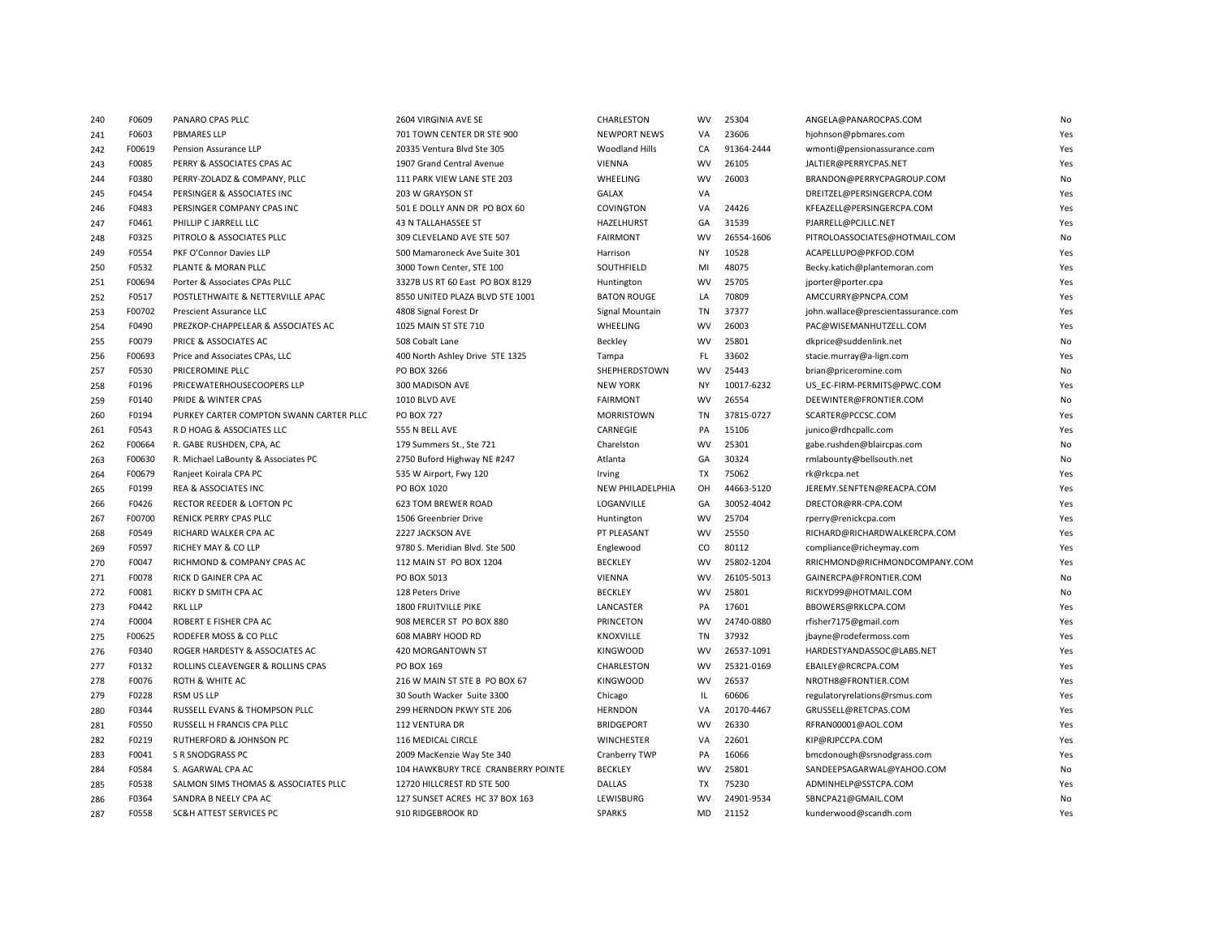| 240 | F0609  | PANARO CPAS PLLC                        | 2604 VIRGINIA AVE SE               | CHARLESTON              | wv        | 25304      | ANGELA@PANAROCPAS.COM               | No        |
|-----|--------|-----------------------------------------|------------------------------------|-------------------------|-----------|------------|-------------------------------------|-----------|
| 241 | F0603  | <b>PBMARES LLP</b>                      | 701 TOWN CENTER DR STE 900         | <b>NEWPORT NEWS</b>     | VA        | 23606      | hjohnson@pbmares.com                | Yes       |
| 242 | F00619 | Pension Assurance LLP                   | 20335 Ventura Blvd Ste 305         | Woodland Hills          | CA        | 91364-2444 | wmonti@pensionassurance.com         | Yes       |
| 243 | F0085  | PERRY & ASSOCIATES CPAS AC              | 1907 Grand Central Avenue          | <b>VIENNA</b>           | <b>WV</b> | 26105      | JALTIER@PERRYCPAS.NET               | Yes       |
| 244 | F0380  | PERRY-ZOLADZ & COMPANY, PLLC            | 111 PARK VIEW LANE STE 203         | WHEELING                | <b>WV</b> | 26003      | BRANDON@PERRYCPAGROUP.COM           | No        |
| 245 | F0454  | PERSINGER & ASSOCIATES INC              | 203 W GRAYSON ST                   | <b>GALAX</b>            | VA        |            | DREITZEL@PERSINGERCPA.COM           | Yes       |
| 246 | F0483  | PERSINGER COMPANY CPAS INC              | 501 E DOLLY ANN DR PO BOX 60       | COVINGTON               | VA        | 24426      | KFEAZELL@PERSINGERCPA.COM           | Yes       |
| 247 | F0461  | PHILLIP C JARRELL LLC                   | <b>43 N TALLAHASSEE ST</b>         | HAZELHURST              | GA        | 31539      | PJARRELL@PCJLLC.NET                 | Yes       |
| 248 | F0325  | PITROLO & ASSOCIATES PLLC               | 309 CLEVELAND AVE STE 507          | <b>FAIRMONT</b>         | <b>WV</b> | 26554-1606 | PITROLOASSOCIATES@HOTMAIL.COM       | No        |
| 249 | F0554  | PKF O'Connor Davies LLP                 | 500 Mamaroneck Ave Suite 301       | Harrison                | <b>NY</b> | 10528      | ACAPELLUPO@PKFOD.COM                | Yes       |
| 250 | F0532  | PLANTE & MORAN PLLC                     | 3000 Town Center, STE 100          | SOUTHFIELD              | MI        | 48075      | Becky.katich@plantemoran.com        | Yes       |
| 251 | F00694 | Porter & Associates CPAs PLLC           | 3327B US RT 60 East PO BOX 8129    | Huntington              | <b>WV</b> | 25705      | jporter@porter.cpa                  | Yes       |
| 252 | F0517  | POSTLETHWAITE & NETTERVILLE APAC        | 8550 UNITED PLAZA BLVD STE 1001    | <b>BATON ROUGE</b>      | LA        | 70809      | AMCCURRY@PNCPA.COM                  | Yes       |
| 253 | F00702 | Prescient Assurance LLC                 | 4808 Signal Forest Dr              | Signal Mountain         | <b>TN</b> | 37377      | john.wallace@prescientassurance.com | Yes       |
| 254 | F0490  | PREZKOP-CHAPPELEAR & ASSOCIATES AC      | 1025 MAIN ST STE 710               | WHEELING                | <b>WV</b> | 26003      | PAC@WISEMANHUTZELL.COM              | Yes       |
| 255 | F0079  | PRICE & ASSOCIATES AC                   | 508 Cobalt Lane                    | Beckley                 | <b>WV</b> | 25801      | dkprice@suddenlink.net              | No        |
| 256 | F00693 | Price and Associates CPAs, LLC          | 400 North Ashley Drive STE 1325    | Tampa                   | FL.       | 33602      | stacie.murray@a-lign.com            | Yes       |
| 257 | F0530  | PRICEROMINE PLLC                        | PO BOX 3266                        | SHEPHERDSTOWN           | <b>WV</b> | 25443      | brian@priceromine.com               | <b>No</b> |
| 258 | F0196  | PRICEWATERHOUSECOOPERS LLP              | 300 MADISON AVE                    | <b>NEW YORK</b>         | <b>NY</b> | 10017-6232 | US EC-FIRM-PERMITS@PWC.COM          | Yes       |
| 259 | F0140  | PRIDE & WINTER CPAS                     | 1010 BLVD AVE                      | <b>FAIRMONT</b>         | <b>WV</b> | 26554      | DEEWINTER@FRONTIER.COM              | <b>No</b> |
| 260 | F0194  | PURKEY CARTER COMPTON SWANN CARTER PLLC | <b>PO BOX 727</b>                  | <b>MORRISTOWN</b>       | <b>TN</b> | 37815-0727 | SCARTER@PCCSC.COM                   | Yes       |
| 261 | F0543  | R D HOAG & ASSOCIATES LLC               | 555 N BELL AVE                     | CARNEGIE                | PA        | 15106      | junico@rdhcpallc.com                | Yes       |
| 262 | F00664 | R. GABE RUSHDEN, CPA, AC                | 179 Summers St., Ste 721           | Charelston              | <b>WV</b> | 25301      | gabe.rushden@blaircpas.com          | No        |
| 263 | F00630 | R. Michael LaBounty & Associates PC     | 2750 Buford Highway NE #247        | Atlanta                 | GA        | 30324      | rmlabounty@bellsouth.net            | <b>No</b> |
| 264 | F00679 | Ranjeet Koirala CPA PC                  | 535 W Airport, Fwy 120             | Irving                  | <b>TX</b> | 75062      | rk@rkcpa.net                        | Yes       |
| 265 | F0199  | <b>REA &amp; ASSOCIATES INC</b>         | PO BOX 1020                        | <b>NEW PHILADELPHIA</b> | OH        | 44663-5120 | JEREMY.SENFTEN@REACPA.COM           | Yes       |
| 266 | F0426  | RECTOR REEDER & LOFTON PC               | 623 TOM BREWER ROAD                | LOGANVILLE              | GA        | 30052-4042 | DRECTOR@RR-CPA.COM                  | Yes       |
| 267 | F00700 | <b>RENICK PERRY CPAS PLLC</b>           | 1506 Greenbrier Drive              | Huntington              | <b>WV</b> | 25704      | rperry@renickcpa.com                | Yes       |
| 268 | F0549  | RICHARD WALKER CPA AC                   | 2227 JACKSON AVE                   | PT PLEASANT             | <b>WV</b> | 25550      | RICHARD@RICHARDWALKERCPA.COM        | Yes       |
| 269 | F0597  | RICHEY MAY & CO LLP                     | 9780 S. Meridian Blvd. Ste 500     | Englewood               | CO        | 80112      | compliance@richeymay.com            | Yes       |
| 270 | F0047  | RICHMOND & COMPANY CPAS AC              | 112 MAIN ST PO BOX 1204            | <b>BECKLEY</b>          | <b>WV</b> | 25802-1204 | RRICHMOND@RICHMONDCOMPANY.COM       | Yes       |
| 271 | F0078  | RICK D GAINER CPA AC                    | PO BOX 5013                        | <b>VIENNA</b>           | <b>WV</b> | 26105-5013 | GAINERCPA@FRONTIER.COM              | <b>No</b> |
| 272 | F0081  | RICKY D SMITH CPA AC                    | 128 Peters Drive                   | <b>BECKLEY</b>          | <b>WV</b> | 25801      | RICKYD99@HOTMAIL.COM                | No        |
| 273 | F0442  | <b>RKL LLP</b>                          | <b>1800 FRUITVILLE PIKE</b>        | LANCASTER               | PA        | 17601      | BBOWERS@RKLCPA.COM                  | Yes       |
| 274 | F0004  | ROBERT E FISHER CPA AC                  | 908 MERCER ST PO BOX 880           | PRINCETON               | <b>WV</b> | 24740-0880 | rfisher7175@gmail.com               | Yes       |
| 275 | F00625 | RODEFER MOSS & CO PLLC                  | 608 MABRY HOOD RD                  | KNOXVILLE               | <b>TN</b> | 37932      | jbayne@rodefermoss.com              | Yes       |
| 276 | F0340  | ROGER HARDESTY & ASSOCIATES AC          | 420 MORGANTOWN ST                  | <b>KINGWOOD</b>         | <b>WV</b> | 26537-1091 | HARDESTYANDASSOC@LABS.NET           | Yes       |
| 277 | F0132  | ROLLINS CLEAVENGER & ROLLINS CPAS       | PO BOX 169                         | CHARLESTON              | <b>WV</b> | 25321-0169 | EBAILEY@RCRCPA.COM                  | Yes       |
| 278 | F0076  | ROTH & WHITE AC                         | 216 W MAIN ST STE B PO BOX 67      | <b>KINGWOOD</b>         | <b>WV</b> | 26537      | NROTH8@FRONTIER.COM                 | Yes       |
| 279 | F0228  | RSM US LLP                              | 30 South Wacker Suite 3300         | Chicago                 | IL        | 60606      | regulatoryrelations@rsmus.com       | Yes       |
| 280 | F0344  | RUSSELL EVANS & THOMPSON PLLC           | 299 HERNDON PKWY STE 206           | <b>HERNDON</b>          | VA        | 20170-4467 | GRUSSELL@RETCPAS.COM                | Yes       |
| 281 | F0550  | RUSSELL H FRANCIS CPA PLLC              | <b>112 VENTURA DR</b>              | <b>BRIDGEPORT</b>       | <b>WV</b> | 26330      | RFRAN00001@AOL.COM                  | Yes       |
| 282 | F0219  | RUTHERFORD & JOHNSON PC                 | 116 MEDICAL CIRCLE                 | <b>WINCHESTER</b>       | VA        | 22601      | KIP@RJPCCPA.COM                     | Yes       |
| 283 | F0041  | S R SNODGRASS PC                        | 2009 MacKenzie Way Ste 340         | Cranberry TWP           | PA        | 16066      | bmcdonough@srsnodgrass.com          | Yes       |
| 284 | F0584  | S. AGARWAL CPA AC                       | 104 HAWKBURY TRCE CRANBERRY POINTE | <b>BECKLEY</b>          | <b>WV</b> | 25801      | SANDEEPSAGARWAL@YAHOO.COM           | No        |
| 285 | F0538  | SALMON SIMS THOMAS & ASSOCIATES PLLC    | 12720 HILLCREST RD STE 500         | <b>DALLAS</b>           | <b>TX</b> | 75230      | ADMINHELP@SSTCPA.COM                | Yes       |
| 286 | F0364  | SANDRA B NEELY CPA AC                   | 127 SUNSET ACRES HC 37 BOX 163     | LEWISBURG               | <b>WV</b> | 24901-9534 | SBNCPA21@GMAIL.COM                  | No        |
| 287 | F0558  | SC&H ATTEST SERVICES PC                 | 910 RIDGEBROOK RD                  | <b>SPARKS</b>           | MD        | 21152      | kunderwood@scandh.com               | Yes       |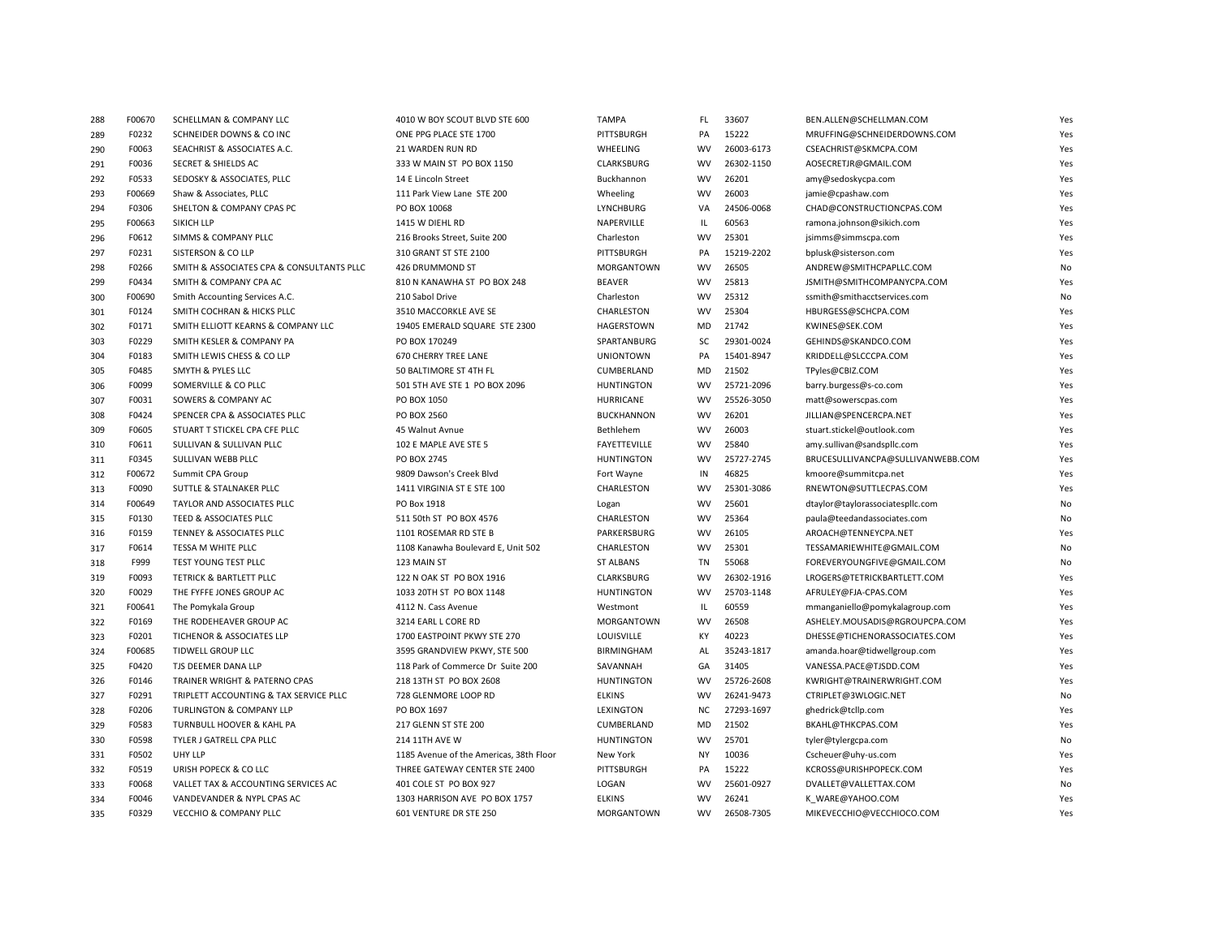| 288 | F00670 | SCHELLMAN & COMPANY LLC                   | 4010 W BOY SCOUT BLVD STE 600           | <b>TAMPA</b>        | FL.       | 33607      | BEN.ALLEN@SCHELLMAN.COM           | Yes |
|-----|--------|-------------------------------------------|-----------------------------------------|---------------------|-----------|------------|-----------------------------------|-----|
| 289 | F0232  | SCHNEIDER DOWNS & CO INC                  | ONE PPG PLACE STE 1700                  | PITTSBURGH          | PA        | 15222      | MRUFFING@SCHNEIDERDOWNS.COM       | Yes |
| 290 | F0063  | SEACHRIST & ASSOCIATES A.C.               | 21 WARDEN RUN RD                        | WHEELING            | <b>WV</b> | 26003-6173 | CSEACHRIST@SKMCPA.COM             | Yes |
| 291 | F0036  | <b>SECRET &amp; SHIELDS AC</b>            | 333 W MAIN ST PO BOX 1150               | CLARKSBURG          | <b>WV</b> | 26302-1150 | AOSECRETJR@GMAIL.COM              | Yes |
| 292 | F0533  | SEDOSKY & ASSOCIATES, PLLC                | 14 E Lincoln Street                     | Buckhannon          | <b>WV</b> | 26201      | amy@sedoskycpa.com                | Yes |
| 293 | F00669 | Shaw & Associates, PLLC                   | 111 Park View Lane STE 200              | Wheeling            | <b>WV</b> | 26003      | jamie@cpashaw.com                 | Yes |
| 294 | F0306  | SHELTON & COMPANY CPAS PC                 | PO BOX 10068                            | LYNCHBURG           | VA        | 24506-0068 | CHAD@CONSTRUCTIONCPAS.COM         | Yes |
| 295 | F00663 | SIKICH LLP                                | 1415 W DIEHL RD                         | NAPERVILLE          | IL        | 60563      | ramona.johnson@sikich.com         | Yes |
| 296 | F0612  | SIMMS & COMPANY PLLC                      | 216 Brooks Street, Suite 200            | Charleston          | <b>WV</b> | 25301      | jsimms@simmscpa.com               | Yes |
| 297 | F0231  | SISTERSON & CO LLP                        | 310 GRANT ST STE 2100                   | PITTSBURGH          | PA        | 15219-2202 | bplusk@sisterson.com              | Yes |
| 298 | F0266  | SMITH & ASSOCIATES CPA & CONSULTANTS PLLC | 426 DRUMMOND ST                         | MORGANTOWN          | <b>WV</b> | 26505      | ANDREW@SMITHCPAPLLC.COM           | No  |
| 299 | F0434  | SMITH & COMPANY CPA AC                    | 810 N KANAWHA ST PO BOX 248             | <b>BEAVER</b>       | <b>WV</b> | 25813      | JSMITH@SMITHCOMPANYCPA.COM        | Yes |
| 300 | F00690 | Smith Accounting Services A.C.            | 210 Sabol Drive                         | Charleston          | <b>WV</b> | 25312      | ssmith@smithacctservices.com      | No  |
| 301 | F0124  | SMITH COCHRAN & HICKS PLLC                | 3510 MACCORKLE AVE SE                   | CHARLESTON          | <b>WV</b> | 25304      | HBURGESS@SCHCPA.COM               | Yes |
| 302 | F0171  | SMITH ELLIOTT KEARNS & COMPANY LLC        | 19405 EMERALD SQUARE STE 2300           | HAGERSTOWN          | MD        | 21742      | KWINES@SEK.COM                    | Yes |
| 303 | F0229  | SMITH KESLER & COMPANY PA                 | PO BOX 170249                           | SPARTANBURG         | SC        | 29301-0024 | GEHINDS@SKANDCO.COM               | Yes |
| 304 | F0183  | SMITH LEWIS CHESS & CO LLP                | <b>670 CHERRY TREE LANE</b>             | <b>UNIONTOWN</b>    | PA        | 15401-8947 | KRIDDELL@SLCCCPA.COM              | Yes |
| 305 | F0485  | SMYTH & PYLES LLC                         | 50 BALTIMORE ST 4TH FL                  | CUMBERLAND          | MD        | 21502      | TPyles@CBIZ.COM                   | Yes |
| 306 | F0099  | SOMERVILLE & CO PLLC                      | 501 5TH AVE STE 1 PO BOX 2096           | <b>HUNTINGTON</b>   | <b>WV</b> | 25721-2096 | barry.burgess@s-co.com            | Yes |
| 307 | F0031  | SOWERS & COMPANY AC                       | PO BOX 1050                             | HURRICANE           | <b>WV</b> | 25526-3050 | matt@sowerscpas.com               | Yes |
| 308 | F0424  | SPENCER CPA & ASSOCIATES PLLC             | PO BOX 2560                             | <b>BUCKHANNON</b>   | <b>WV</b> | 26201      | JILLIAN@SPENCERCPA.NET            | Yes |
| 309 | F0605  | STUART T STICKEL CPA CFE PLLC             | 45 Walnut Avnue                         | Bethlehem           | <b>WV</b> | 26003      | stuart.stickel@outlook.com        | Yes |
| 310 | F0611  | SULLIVAN & SULLIVAN PLLC                  | 102 E MAPLE AVE STE 5                   | <b>FAYETTEVILLE</b> | <b>WV</b> | 25840      | amy.sullivan@sandspllc.com        | Yes |
| 311 | F0345  | SULLIVAN WEBB PLLC                        | PO BOX 2745                             | <b>HUNTINGTON</b>   | <b>WV</b> | 25727-2745 | BRUCESULLIVANCPA@SULLIVANWEBB.COM | Yes |
| 312 | F00672 | Summit CPA Group                          | 9809 Dawson's Creek Blyd                | Fort Wayne          | IN        | 46825      | kmoore@summitcpa.net              | Yes |
| 313 | F0090  | SUTTLE & STALNAKER PLLC                   | 1411 VIRGINIA ST E STE 100              | CHARLESTON          | <b>WV</b> | 25301-3086 | RNEWTON@SUTTLECPAS.COM            | Yes |
| 314 | F00649 | TAYLOR AND ASSOCIATES PLLC                | PO Box 1918                             | Logan               | <b>WV</b> | 25601      | dtaylor@taylorassociatespllc.com  | No  |
| 315 | F0130  | TEED & ASSOCIATES PLLC                    | 511 50th ST PO BOX 4576                 | CHARLESTON          | <b>WV</b> | 25364      | paula@teedandassociates.com       | No  |
| 316 | F0159  | TENNEY & ASSOCIATES PLLC                  | 1101 ROSEMAR RD STE B                   | PARKERSBURG         | <b>WV</b> | 26105      | AROACH@TENNEYCPA.NET              | Yes |
| 317 | F0614  | TESSA M WHITE PLLC                        | 1108 Kanawha Boulevard E, Unit 502      | CHARLESTON          | <b>WV</b> | 25301      | TESSAMARIEWHITE@GMAIL.COM         | No  |
| 318 | F999   | TEST YOUNG TEST PLLC                      | 123 MAIN ST                             | <b>ST ALBANS</b>    | TN        | 55068      | FOREVERYOUNGFIVE@GMAIL.COM        | No  |
| 319 | F0093  | TETRICK & BARTLETT PLLC                   | 122 N OAK ST PO BOX 1916                | CLARKSBURG          | <b>WV</b> | 26302-1916 | LROGERS@TETRICKBARTLETT.COM       | Yes |
| 320 | F0029  | THE FYFFE JONES GROUP AC                  | 1033 20TH ST PO BOX 1148                | <b>HUNTINGTON</b>   | <b>WV</b> | 25703-1148 | AFRULEY@FJA-CPAS.COM              | Yes |
| 321 | F00641 | The Pomykala Group                        | 4112 N. Cass Avenue                     | Westmont            | IL        | 60559      | mmanganiello@pomykalagroup.com    | Yes |
| 322 | F0169  | THE RODEHEAVER GROUP AC                   | 3214 EARL L CORE RD                     | MORGANTOWN          | <b>WV</b> | 26508      | ASHELEY.MOUSADIS@RGROUPCPA.COM    | Yes |
| 323 | F0201  | TICHENOR & ASSOCIATES LLP                 | 1700 EASTPOINT PKWY STE 270             | LOUISVILLE          | KY        | 40223      | DHESSE@TICHENORASSOCIATES.COM     | Yes |
| 324 | F00685 | TIDWELL GROUP LLC                         | 3595 GRANDVIEW PKWY, STE 500            | <b>BIRMINGHAM</b>   | AL        | 35243-1817 | amanda.hoar@tidwellgroup.com      | Yes |
| 325 | F0420  | TJS DEEMER DANA LLP                       | 118 Park of Commerce Dr Suite 200       | SAVANNAH            | GA        | 31405      | VANESSA.PACE@TJSDD.COM            | Yes |
| 326 | F0146  | TRAINER WRIGHT & PATERNO CPAS             | 218 13TH ST PO BOX 2608                 | <b>HUNTINGTON</b>   | <b>WV</b> | 25726-2608 | KWRIGHT@TRAINERWRIGHT.COM         | Yes |
| 327 | F0291  | TRIPLETT ACCOUNTING & TAX SERVICE PLLC    | 728 GLENMORE LOOP RD                    | <b>ELKINS</b>       | <b>WV</b> | 26241-9473 | CTRIPLET@3WLOGIC.NET              | No  |
| 328 | F0206  | TURLINGTON & COMPANY LLP                  | PO BOX 1697                             | LEXINGTON           | NC        | 27293-1697 | ghedrick@tcllp.com                | Yes |
| 329 | F0583  | TURNBULL HOOVER & KAHL PA                 | 217 GLENN ST STE 200                    | CUMBERLAND          | MD        | 21502      | BKAHL@THKCPAS.COM                 | Yes |
| 330 | F0598  | TYLER J GATRELL CPA PLLC                  | 214 11TH AVE W                          | <b>HUNTINGTON</b>   | <b>WV</b> | 25701      | tyler@tylergcpa.com               | No  |
| 331 | F0502  | UHY LLP                                   | 1185 Avenue of the Americas, 38th Floor | New York            | NY        | 10036      | Cscheuer@uhy-us.com               | Yes |
| 332 | F0519  | URISH POPECK & CO LLC                     | THREE GATEWAY CENTER STE 2400           | PITTSBURGH          | PA        | 15222      | KCROSS@URISHPOPECK.COM            | Yes |
| 333 | F0068  | VALLET TAX & ACCOUNTING SERVICES AC       | 401 COLE ST PO BOX 927                  | LOGAN               | <b>WV</b> | 25601-0927 | DVALLET@VALLETTAX.COM             | No  |
| 334 | F0046  | VANDEVANDER & NYPL CPAS AC                | 1303 HARRISON AVE PO BOX 1757           | <b>ELKINS</b>       | <b>WV</b> | 26241      | K WARE@YAHOO.COM                  | Yes |
| 335 | F0329  | <b>VECCHIO &amp; COMPANY PLLC</b>         | 601 VENTURE DR STE 250                  | <b>MORGANTOWN</b>   | <b>WV</b> | 26508-7305 | MIKEVECCHIO@VECCHIOCO.COM         | Yes |